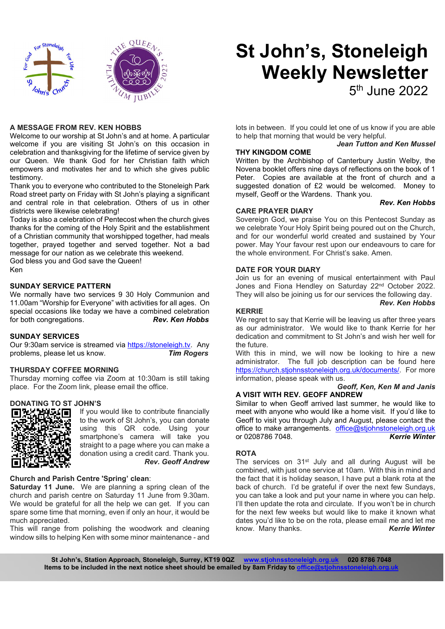

# St John's, Stoneleigh Weekly Newsletter

5<sup>th</sup> June 2022

#### A MESSAGE FROM REV. KEN HOBBS

Welcome to our worship at St John's and at home. A particular welcome if you are visiting St John's on this occasion in celebration and thanksgiving for the lifetime of service given by our Queen. We thank God for her Christian faith which empowers and motivates her and to which she gives public testimony.

Thank you to everyone who contributed to the Stoneleigh Park Road street party on Friday with St John's playing a significant and central role in that celebration. Others of us in other districts were likewise celebrating!

Today is also a celebration of Pentecost when the church gives thanks for the coming of the Holy Spirit and the establishment of a Christian community that worshipped together, had meals together, prayed together and served together. Not a bad message for our nation as we celebrate this weekend.

God bless you and God save the Queen! Ken

#### SUNDAY SERVICE PATTERN

We normally have two services 9 30 Holy Communion and 11.00am "Worship for Everyone" with activities for all ages. On special occasions like today we have a combined celebration<br>for both congregations.<br>**Rev. Ken Hobbs** for both congregations.

#### SUNDAY SERVICES

Our 9:30am service is streamed via https://stoneleigh.tv. Any problems, please let us know. Tim Rogers

#### THURSDAY COFFEE MORNING

Thursday morning coffee via Zoom at 10:30am is still taking place. For the Zoom link, please email the office.

## DONATING TO ST JOHN'S



If you would like to contribute financially to the work of St John's, you can donate using this QR code. Using your smartphone's camera will take you straight to a page where you can make a donation using a credit card. Thank you. Rev. Geoff Andrew

#### Church and Parish Centre 'Spring' clean:

Saturday 11 June. We are planning a spring clean of the church and parish centre on Saturday 11 June from 9.30am. We would be grateful for all the help we can get. If you can spare some time that morning, even if only an hour, it would be much appreciated.

This will range from polishing the woodwork and cleaning window sills to helping Ken with some minor maintenance - and

lots in between. If you could let one of us know if you are able to help that morning that would be very helpful.

### Jean Tutton and Ken Mussel

Written by the Archbishop of Canterbury Justin Welby, the Novena booklet offers nine days of reflections on the book of 1 Peter. Copies are available at the front of church and a suggested donation of £2 would be welcomed. Money to myself, Geoff or the Wardens. Thank you.

#### Rev. Ken Hobbs

#### CARE PRAYER DIARY

THY KINGDOM COME

Sovereign God, we praise You on this Pentecost Sunday as we celebrate Your Holy Spirit being poured out on the Church, and for our wonderful world created and sustained by Your power. May Your favour rest upon our endeavours to care for the whole environment. For Christ's sake. Amen.

#### DATE FOR YOUR DIARY

Join us for an evening of musical entertainment with Paul Jones and Fiona Hendley on Saturday 22<sup>nd</sup> October 2022. They will also be joining us for our services the following day.

#### Rev. Ken Hobbs

#### KERRIE

We regret to say that Kerrie will be leaving us after three years as our administrator. We would like to thank Kerrie for her dedication and commitment to St John's and wish her well for the future.

With this in mind, we will now be looking to hire a new administrator. The full job description can be found here https://church.stjohnsstoneleigh.org.uk/documents/. For more information, please speak with us.

Geoff, Ken, Ken M and Janis

#### A VISIT WITH REV. GEOFF ANDREW

Similar to when Geoff arrived last summer, he would like to meet with anyone who would like a home visit. If you'd like to Geoff to visit you through July and August, please contact the office to make arrangements. office@stjohnstoneleigh.org.uk<br>or 0208786 7048. **Kerrie Winter** or 0208786 7048.

#### **ROTA**

The services on 31<sup>st</sup> July and all during August will be combined, with just one service at 10am. With this in mind and the fact that it is holiday season, I have put a blank rota at the back of church. I'd be grateful if over the next few Sundays, you can take a look and put your name in where you can help. I'll then update the rota and circulate. If you won't be in church for the next few weeks but would like to make it known what dates you'd like to be on the rota, please email me and let me know. Many thanks. Kerrie Winter

St John's, Station Approach, Stoneleigh, Surrey, KT19 0QZ www.stjohnsstoneleigh.org.uk 020 8786 7048 Items to be included in the next notice sheet should be emailed by 8am Friday to office@stjohnsstoneleigh.org.uk